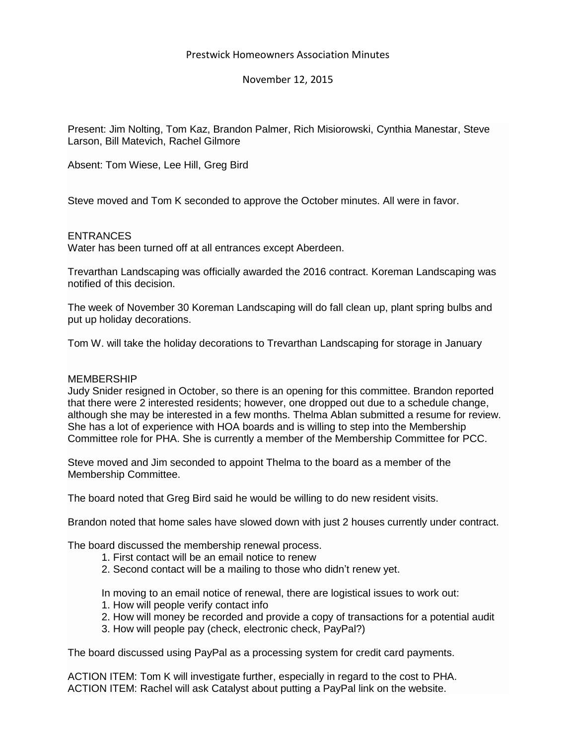## Prestwick Homeowners Association Minutes

## November 12, 2015

Present: Jim Nolting, Tom Kaz, Brandon Palmer, Rich Misiorowski, Cynthia Manestar, Steve Larson, Bill Matevich, Rachel Gilmore

Absent: Tom Wiese, Lee Hill, Greg Bird

Steve moved and Tom K seconded to approve the October minutes. All were in favor.

### ENTRANCES

Water has been turned off at all entrances except Aberdeen.

Trevarthan Landscaping was officially awarded the 2016 contract. Koreman Landscaping was notified of this decision.

The week of November 30 Koreman Landscaping will do fall clean up, plant spring bulbs and put up holiday decorations.

Tom W. will take the holiday decorations to Trevarthan Landscaping for storage in January

### **MEMBERSHIP**

Judy Snider resigned in October, so there is an opening for this committee. Brandon reported that there were 2 interested residents; however, one dropped out due to a schedule change, although she may be interested in a few months. Thelma Ablan submitted a resume for review. She has a lot of experience with HOA boards and is willing to step into the Membership Committee role for PHA. She is currently a member of the Membership Committee for PCC.

Steve moved and Jim seconded to appoint Thelma to the board as a member of the Membership Committee.

The board noted that Greg Bird said he would be willing to do new resident visits.

Brandon noted that home sales have slowed down with just 2 houses currently under contract.

The board discussed the membership renewal process.

- 1. First contact will be an email notice to renew
- 2. Second contact will be a mailing to those who didn't renew yet.

In moving to an email notice of renewal, there are logistical issues to work out:

- 1. How will people verify contact info
- 2. How will money be recorded and provide a copy of transactions for a potential audit
- 3. How will people pay (check, electronic check, PayPal?)

The board discussed using PayPal as a processing system for credit card payments.

ACTION ITEM: Tom K will investigate further, especially in regard to the cost to PHA. ACTION ITEM: Rachel will ask Catalyst about putting a PayPal link on the website.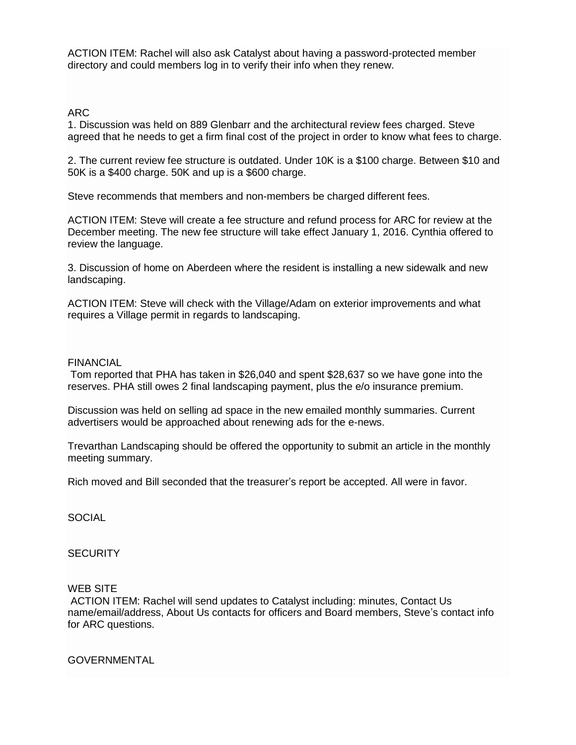ACTION ITEM: Rachel will also ask Catalyst about having a password-protected member directory and could members log in to verify their info when they renew.

## ARC

1. Discussion was held on 889 Glenbarr and the architectural review fees charged. Steve agreed that he needs to get a firm final cost of the project in order to know what fees to charge.

2. The current review fee structure is outdated. Under 10K is a \$100 charge. Between \$10 and 50K is a \$400 charge. 50K and up is a \$600 charge.

Steve recommends that members and non-members be charged different fees.

ACTION ITEM: Steve will create a fee structure and refund process for ARC for review at the December meeting. The new fee structure will take effect January 1, 2016. Cynthia offered to review the language.

3. Discussion of home on Aberdeen where the resident is installing a new sidewalk and new landscaping.

ACTION ITEM: Steve will check with the Village/Adam on exterior improvements and what requires a Village permit in regards to landscaping.

## FINANCIAL

Tom reported that PHA has taken in \$26,040 and spent \$28,637 so we have gone into the reserves. PHA still owes 2 final landscaping payment, plus the e/o insurance premium.

Discussion was held on selling ad space in the new emailed monthly summaries. Current advertisers would be approached about renewing ads for the e-news.

Trevarthan Landscaping should be offered the opportunity to submit an article in the monthly meeting summary.

Rich moved and Bill seconded that the treasurer's report be accepted. All were in favor.

**SOCIAL** 

# **SECURITY**

### WEB SITE

ACTION ITEM: Rachel will send updates to Catalyst including: minutes, Contact Us name/email/address, About Us contacts for officers and Board members, Steve's contact info for ARC questions.

GOVERNMENTAL